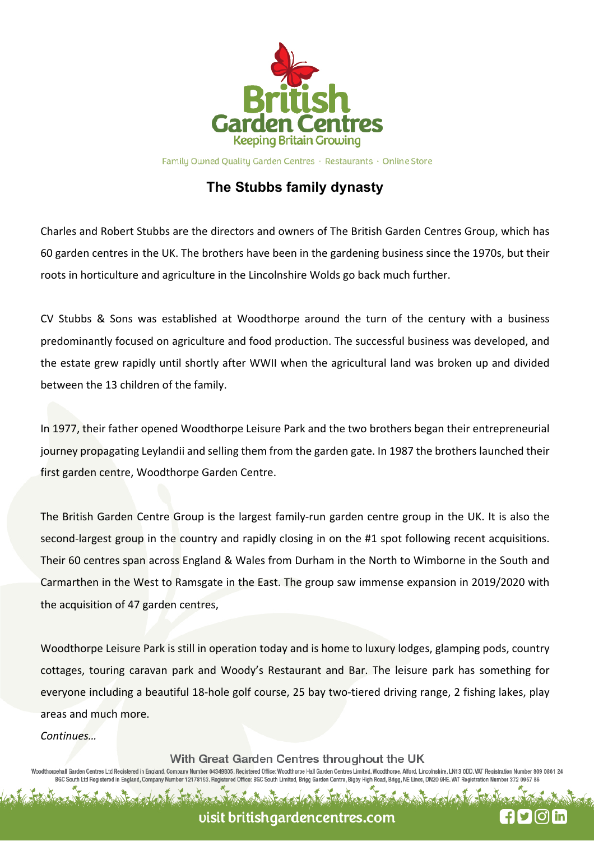

Family Owned Quality Garden Centres · Restaurants · Online Store

## **The Stubbs family dynasty**

Charles and Robert Stubbs are the directors and owners of The British Garden Centres Group, which has 60 garden centres in the UK. The brothers have been in the gardening business since the 1970s, but their roots in horticulture and agriculture in the Lincolnshire Wolds go back much further.

CV Stubbs & Sons was established at Woodthorpe around the turn of the century with a business predominantly focused on agriculture and food production. The successful business was developed, and the estate grew rapidly until shortly after WWII when the agricultural land was broken up and divided between the 13 children of the family.

In 1977, their father opened Woodthorpe Leisure Park and the two brothers began their entrepreneurial journey propagating Leylandii and selling them from the garden gate. In 1987 the brothers launched their first garden centre, Woodthorpe Garden Centre.

The British Garden Centre Group is the largest family-run garden centre group in the UK. It is also the second-largest group in the country and rapidly closing in on the #1 spot following recent acquisitions. Their 60 centres span across England & Wales from Durham in the North to Wimborne in the South and Carmarthen in the West to Ramsgate in the East. The group saw immense expansion in 2019/2020 with the acquisition of 47 garden centres,

Woodthorpe Leisure Park is still in operation today and is home to luxury lodges, glamping pods, country cottages, touring caravan park and Woody's Restaurant and Bar. The leisure park has something for everyone including a beautiful 18-hole golf course, 25 bay two-tiered driving range, 2 fishing lakes, play areas and much more.

*Continues…*

With Great Garden Centres throughout the UK

horpehall Garden Centres Ltd Registered in England, Company Number 04349805. Registered Office: Woodthorpe Hall Garden Centres Limited, Woodthorpe, Alford, Lincolnshire, LN13 ODD. VAT Registration Number 809 0861 2 BGC South Ltd Registered in England, Company Number 12178153. Registered Office: BGC South Limited, Brigg Garden Centre, Bigby High Road, Brigg, NE Lincs, DN20 9HE. VAT Registration Number

visit britishgardencentres.com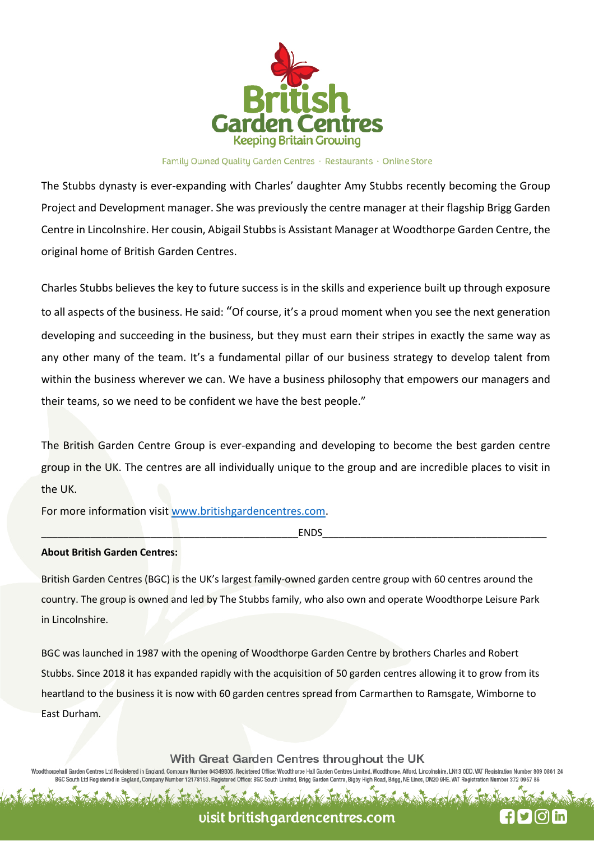

#### Family Owned Quality Garden Centres · Restaurants · Online Store

The Stubbs dynasty is ever-expanding with Charles' daughter Amy Stubbs recently becoming the Group Project and Development manager. She was previously the centre manager at their flagship Brigg Garden Centre in Lincolnshire. Her cousin, Abigail Stubbs is Assistant Manager at Woodthorpe Garden Centre, the original home of British Garden Centres.

Charles Stubbs believes the key to future success is in the skills and experience built up through exposure to all aspects of the business. He said: "Of course, it's a proud moment when you see the next generation developing and succeeding in the business, but they must earn their stripes in exactly the same way as any other many of the team. It's a fundamental pillar of our business strategy to develop talent from within the business wherever we can. We have a business philosophy that empowers our managers and their teams, so we need to be confident we have the best people."

The British Garden Centre Group is ever-expanding and developing to become the best garden centre group in the UK. The centres are all individually unique to the group and are incredible places to visit in the UK.

For more information visit www.britishgardencentres.com.

\_\_\_\_\_\_\_\_\_\_\_\_\_\_\_\_\_\_\_\_\_\_\_\_\_\_\_\_\_\_\_\_\_\_\_\_\_\_\_\_\_\_\_\_\_\_\_ENDS\_\_\_\_\_\_\_\_\_\_\_\_\_\_\_\_\_\_\_\_\_\_\_\_\_\_\_\_\_\_\_\_\_\_\_\_\_\_\_\_\_

#### **About British Garden Centres:**

British Garden Centres (BGC) is the UK's largest family-owned garden centre group with 60 centres around the country. The group is owned and led by The Stubbs family, who also own and operate Woodthorpe Leisure Park in Lincolnshire.

BGC was launched in 1987 with the opening of Woodthorpe Garden Centre by brothers Charles and Robert Stubbs. Since 2018 it has expanded rapidly with the acquisition of 50 garden centres allowing it to grow from its heartland to the business it is now with 60 garden centres spread from Carmarthen to Ramsgate, Wimborne to East Durham.

With Great Garden Centres throughout the UK

oodthorpehall Garden Centres Ltd Registered in England, Company Number 04349805. Registered Office: Woodthorpe Hall Garden Centres Limited, Woodthorpe, Alford, Lincolnshire, LN13 0DD. VAT Registration Number 809 0861 2<br>BG

## visit britishgardencentres.com